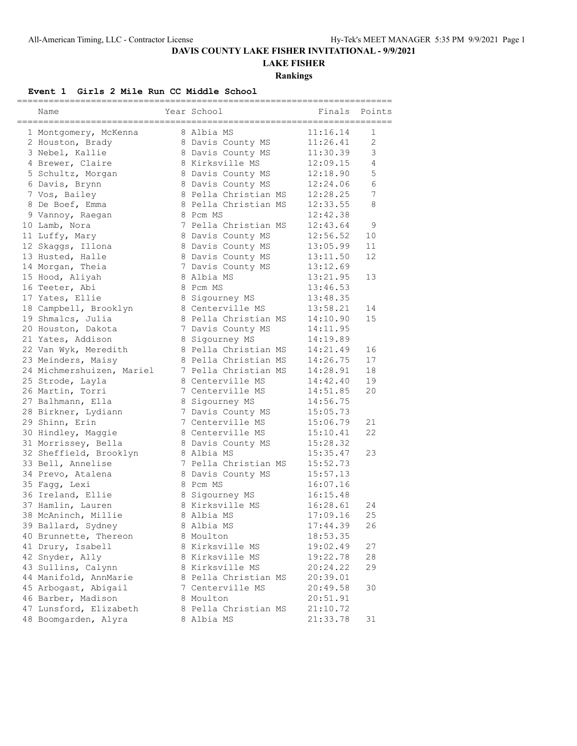## **DAVIS COUNTY LAKE FISHER INVITATIONAL - 9/9/2021**

# **LAKE FISHER**

**Rankings**

#### **Event 1 Girls 2 Mile Run CC Middle School**

| Name                      | Year School          | Finals   | Points         |
|---------------------------|----------------------|----------|----------------|
| 1 Montgomery, McKenna     | 8 Albia MS           | 11:16.14 | 1              |
| 2 Houston, Brady          | 8 Davis County MS    | 11:26.41 | $\overline{2}$ |
| 3 Nebel, Kallie           | 8 Davis County MS    | 11:30.39 | 3              |
| 4 Brewer, Claire          | 8 Kirksville MS      | 12:09.15 | 4              |
| 5 Schultz, Morgan         | 8 Davis County MS    | 12:18.90 | 5              |
| 6 Davis, Brynn            | 8 Davis County MS    | 12:24.06 | 6              |
| 7 Vos, Bailey             | 8 Pella Christian MS | 12:28.25 | 7              |
| 8 De Boef, Emma           | 8 Pella Christian MS | 12:33.55 | 8              |
| 9 Vannoy, Raegan          | 8 Pcm MS             | 12:42.38 |                |
| 10 Lamb, Nora             | 7 Pella Christian MS | 12:43.64 | 9              |
| 11 Luffy, Mary            | 8 Davis County MS    | 12:56.52 | 10             |
| 12 Skaggs, Illona         | 8 Davis County MS    | 13:05.99 | 11             |
| 13 Husted, Halle          | 8 Davis County MS    | 13:11.50 | 12             |
| 14 Morgan, Theia          | 7 Davis County MS    | 13:12.69 |                |
| 15 Hood, Aliyah           | 8 Albia MS           | 13:21.95 | 13             |
| 16 Teeter, Abi            | 8 Pcm MS             | 13:46.53 |                |
| 17 Yates, Ellie           | 8 Sigourney MS       | 13:48.35 |                |
| 18 Campbell, Brooklyn     | 8 Centerville MS     | 13:58.21 | 14             |
| 19 Shmalcs, Julia         | 8 Pella Christian MS | 14:10.90 | 15             |
| 20 Houston, Dakota        | 7 Davis County MS    | 14:11.95 |                |
| 21 Yates, Addison         | 8 Sigourney MS       | 14:19.89 |                |
| 22 Van Wyk, Meredith      | 8 Pella Christian MS | 14:21.49 | 16             |
| 23 Meinders, Maisy        | 8 Pella Christian MS | 14:26.75 | 17             |
| 24 Michmershuizen, Mariel | 7 Pella Christian MS | 14:28.91 | 18             |
| 25 Strode, Layla          | 8 Centerville MS     | 14:42.40 | 19             |
| 26 Martin, Torri          | 7 Centerville MS     | 14:51.85 | 20             |
| 27 Balhmann, Ella         | 8 Sigourney MS       | 14:56.75 |                |
| 28 Birkner, Lydiann       | 7 Davis County MS    | 15:05.73 |                |
| 29 Shinn, Erin            | 7 Centerville MS     | 15:06.79 | 21             |
| 30 Hindley, Maggie        | 8 Centerville MS     | 15:10.41 | 22             |
| 31 Morrissey, Bella       | 8 Davis County MS    | 15:28.32 |                |
| 32 Sheffield, Brooklyn    | 8 Albia MS           | 15:35.47 | 23             |
| 33 Bell, Annelise         | 7 Pella Christian MS | 15:52.73 |                |
| 34 Prevo, Atalena         | 8 Davis County MS    | 15:57.13 |                |
| 35 Fagg, Lexi             | 8 Pcm MS             | 16:07.16 |                |
| 36 Ireland, Ellie         | 8 Sigourney MS       | 16:15.48 |                |
| 37 Hamlin, Lauren         | 8 Kirksville MS      | 16:28.61 | 24             |
| 38 McAninch, Millie       | 8 Albia MS           | 17:09.16 | 25             |
| 39 Ballard, Sydney        | 8 Albia MS           | 17:44.39 | 26             |
| 40 Brunnette, Thereon     | 8 Moulton            | 18:53.35 |                |
| 41 Drury, Isabell         | 8 Kirksville MS      | 19:02.49 | 27             |
| 42 Snyder, Ally           | 8 Kirksville MS      | 19:22.78 | 28             |
| 43 Sullins, Calynn        | 8 Kirksville MS      | 20:24.22 | 29             |
| 44 Manifold, AnnMarie     | 8 Pella Christian MS | 20:39.01 |                |
| 45 Arbogast, Abigail      | 7 Centerville MS     | 20:49.58 | 30             |
| 46 Barber, Madison        | 8 Moulton            | 20:51.91 |                |
| 47 Lunsford, Elizabeth    | 8 Pella Christian MS | 21:10.72 |                |
| 48 Boomgarden, Alyra      | 8 Albia MS           | 21:33.78 | 31             |
|                           |                      |          |                |